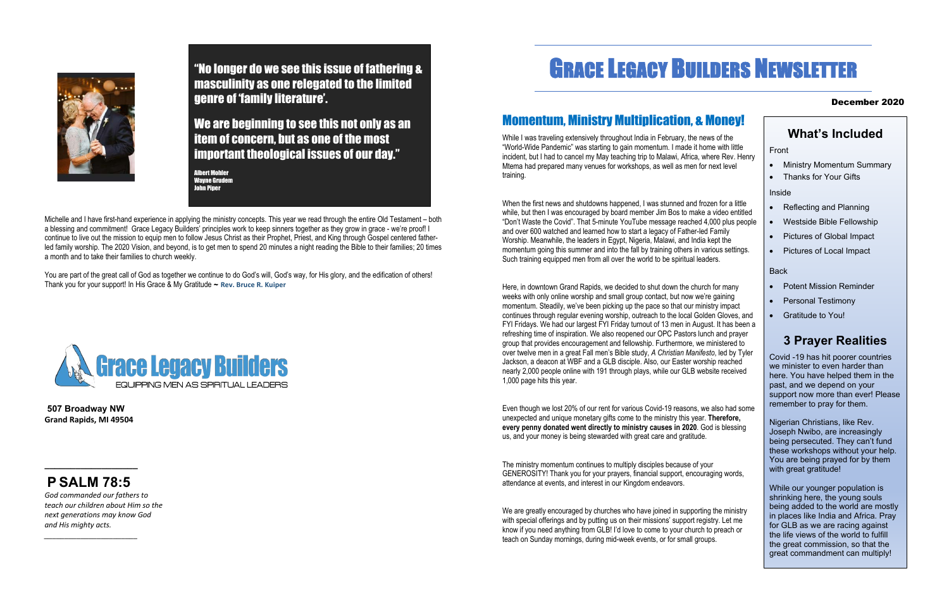Michelle and I have first-hand experience in applying the ministry concepts. This year we read through the entire Old Testament – both a blessing and commitment! Grace Legacy Builders' principles work to keep sinners together as they grow in grace - we're proof! I continue to live out the mission to equip men to follow Jesus Christ as their Prophet, Priest, and King through Gospel centered fatherled family worship. The 2020 Vision, and beyond, is to get men to spend 20 minutes a night reading the Bible to their families; 20 times a month and to take their families to church weekly.

You are part of the great call of God as together we continue to do God's will, God's way, for His glory, and the edification of others! Thank you for your support! In His Grace & My Gratitude ~ **Rev. Bruce R. Kuiper**



**507 Broadway NW Grand Rapids, MI 49504** 

**\_\_\_\_\_\_\_\_\_\_\_\_\_\_\_\_\_\_**

# **P SALM 78:5**

*God commanded our fathers to teach our children about Him so the next generations may know God and His mighty acts.*

*\_\_\_\_\_\_\_\_\_\_\_\_\_\_\_\_\_\_\_\_\_\_\_*

# GRACE LEGACY BUILDERS NEWSLETTER

#### December 2020

# Momentum, Ministry Multiplication, & Money!

While I was traveling extensively throughout India in February, the news of the "World-Wide Pandemic" was starting to gain momentum. I made it home with little incident, but I had to cancel my May teaching trip to Malawi, Africa, where Rev. Henry Mtema had prepared many venues for workshops, as well as men for next level training.

When the first news and shutdowns happened, I was stunned and frozen for a little while, but then I was encouraged by board member Jim Bos to make a video entitled "Don't Waste the Covid". That 5-minute YouTube message reached 4,000 plus people and over 600 watched and learned how to start a legacy of Father-led Family Worship. Meanwhile, the leaders in Egypt, Nigeria, Malawi, and India kept the momentum going this summer and into the fall by training others in various settings. Such training equipped men from all over the world to be spiritual leaders.

We are greatly encouraged by churches who have joined in supporting the ministry with special offerings and by putting us on their missions' support registry. Let me know if you need anything from GLB! I'd love to come to your church to preach or teach on Sunday mornings, during mid-week events, or for small groups.

- Reflecting and Planning
- Westside Bible Fellowship
- Pictures of Global Impact
- Pictures of Local Impact

Here, in downtown Grand Rapids, we decided to shut down the church for many weeks with only online worship and small group contact, but now we're gaining momentum. Steadily, we've been picking up the pace so that our ministry impact continues through regular evening worship, outreach to the local Golden Gloves, and FYI Fridays. We had our largest FYI Friday turnout of 13 men in August. It has been a refreshing time of inspiration. We also reopened our OPC Pastors lunch and prayer group that provides encouragement and fellowship. Furthermore, we ministered to over twelve men in a great Fall men's Bible study, *A Christian Manifesto*, led by Tyler Jackson, a deacon at WBF and a GLB disciple. Also, our Easter worship reached nearly 2,000 people online with 191 through plays, while our GLB website received 1,000 page hits this year.

Albert Mohler Wayne Grudem ohn Piper

> Even though we lost 20% of our rent for various Covid-19 reasons, we also had some unexpected and unique monetary gifts come to the ministry this year. **Therefore, every penny donated went directly to ministry causes in 2020**. God is blessing us, and your money is being stewarded with great care and gratitude.

The ministry momentum continues to multiply disciples because of your GENEROSITY! Thank you for your prayers, financial support, encouraging words, attendance at events, and interest in our Kingdom endeavors.

### **What's Included**

Front

- Ministry Momentum Summary
- Thanks for Your Gifts

Inside

#### Back

- Potent Mission Reminder
- Personal Testimony
- Gratitude to You!

## **3 Prayer Realities**

Covid -19 has hit poorer countries we minister to even harder than here. You have helped them in the past, and we depend on your support now more than ever! Please remember to pray for them.

Nigerian Christians, like Rev. Joseph Nwibo, are increasingly being persecuted. They can't fund these workshops without your help. You are being prayed for by them with great gratitude!

While our younger population is shrinking here, the young souls being added to the world are mostly in places like India and Africa. Pray for GLB as we are racing against the life views of the world to fulfill the great commission, so that the great commandment can multiply!



"No longer do we see this issue of fathering & masculinity as one relegated to the limited genre of 'family literature'.

We are beginning to see this not only as an item of concern, but as one of the most important theological issues of our day."